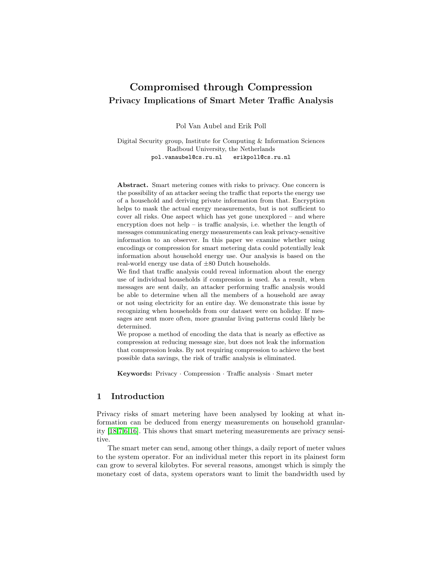# Compromised through Compression Privacy Implications of Smart Meter Traffic Analysis

Pol Van Aubel and Erik Poll

Digital Security group, Institute for Computing & Information Sciences Radboud University, the Netherlands pol.vanaubel@cs.ru.nl erikpoll@cs.ru.nl

Abstract. Smart metering comes with risks to privacy. One concern is the possibility of an attacker seeing the traffic that reports the energy use of a household and deriving private information from that. Encryption helps to mask the actual energy measurements, but is not sufficient to cover all risks. One aspect which has yet gone unexplored – and where encryption does not help – is traffic analysis, i.e. whether the length of messages communicating energy measurements can leak privacy-sensitive information to an observer. In this paper we examine whether using encodings or compression for smart metering data could potentially leak information about household energy use. Our analysis is based on the real-world energy use data of  $\pm 80$  Dutch households.

We find that traffic analysis could reveal information about the energy use of individual households if compression is used. As a result, when messages are sent daily, an attacker performing traffic analysis would be able to determine when all the members of a household are away or not using electricity for an entire day. We demonstrate this issue by recognizing when households from our dataset were on holiday. If messages are sent more often, more granular living patterns could likely be determined.

We propose a method of encoding the data that is nearly as effective as compression at reducing message size, but does not leak the information that compression leaks. By not requiring compression to achieve the best possible data savings, the risk of traffic analysis is eliminated.

Keywords: Privacy · Compression · Traffic analysis · Smart meter

## <span id="page-0-0"></span>1 Introduction

Privacy risks of smart metering have been analysed by looking at what information can be deduced from energy measurements on household granularity [\[18](#page-20-0)[,7,](#page-19-0)[6,](#page-19-1)[16\]](#page-20-1). This shows that smart metering measurements are privacy sensitive.

The smart meter can send, among other things, a daily report of meter values to the system operator. For an individual meter this report in its plainest form can grow to several kilobytes. For several reasons, amongst which is simply the monetary cost of data, system operators want to limit the bandwidth used by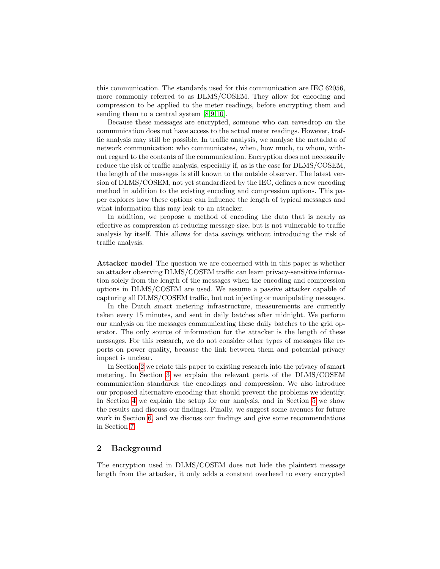this communication. The standards used for this communication are IEC 62056, more commonly referred to as DLMS/COSEM. They allow for encoding and compression to be applied to the meter readings, before encrypting them and sending them to a central system [\[8](#page-19-2)[,9,](#page-20-2)[10\]](#page-20-3).

Because these messages are encrypted, someone who can eavesdrop on the communication does not have access to the actual meter readings. However, traffic analysis may still be possible. In traffic analysis, we analyse the metadata of network communication: who communicates, when, how much, to whom, without regard to the contents of the communication. Encryption does not necessarily reduce the risk of traffic analysis, especially if, as is the case for DLMS/COSEM, the length of the messages is still known to the outside observer. The latest version of DLMS/COSEM, not yet standardized by the IEC, defines a new encoding method in addition to the existing encoding and compression options. This paper explores how these options can influence the length of typical messages and what information this may leak to an attacker.

In addition, we propose a method of encoding the data that is nearly as effective as compression at reducing message size, but is not vulnerable to traffic analysis by itself. This allows for data savings without introducing the risk of traffic analysis.

Attacker model The question we are concerned with in this paper is whether an attacker observing DLMS/COSEM traffic can learn privacy-sensitive information solely from the length of the messages when the encoding and compression options in DLMS/COSEM are used. We assume a passive attacker capable of capturing all DLMS/COSEM traffic, but not injecting or manipulating messages.

In the Dutch smart metering infrastructure, measurements are currently taken every 15 minutes, and sent in daily batches after midnight. We perform our analysis on the messages communicating these daily batches to the grid operator. The only source of information for the attacker is the length of these messages. For this research, we do not consider other types of messages like reports on power quality, because the link between them and potential privacy impact is unclear.

In Section [2](#page-1-0) we relate this paper to existing research into the privacy of smart metering. In Section [3](#page-4-0) we explain the relevant parts of the DLMS/COSEM communication standards: the encodings and compression. We also introduce our proposed alternative encoding that should prevent the problems we identify. In Section [4](#page-7-0) we explain the setup for our analysis, and in Section [5](#page-10-0) we show the results and discuss our findings. Finally, we suggest some avenues for future work in Section [6,](#page-17-0) and we discuss our findings and give some recommendations in Section [7.](#page-18-0)

## <span id="page-1-0"></span>2 Background

The encryption used in DLMS/COSEM does not hide the plaintext message length from the attacker, it only adds a constant overhead to every encrypted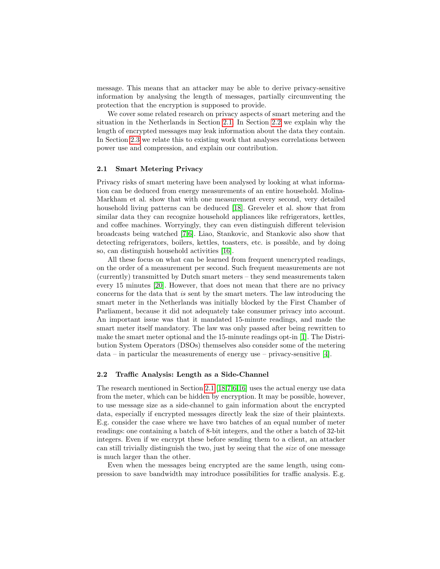message. This means that an attacker may be able to derive privacy-sensitive information by analysing the length of messages, partially circumventing the protection that the encryption is supposed to provide.

We cover some related research on privacy aspects of smart metering and the situation in the Netherlands in Section [2.1.](#page-2-0) In Section [2.2](#page-2-1) we explain why the length of encrypted messages may leak information about the data they contain. In Section [2.3](#page-3-0) we relate this to existing work that analyses correlations between power use and compression, and explain our contribution.

#### <span id="page-2-0"></span>2.1 Smart Metering Privacy

Privacy risks of smart metering have been analysed by looking at what information can be deduced from energy measurements of an entire household. Molina-Markham et al. show that with one measurement every second, very detailed household living patterns can be deduced [\[18\]](#page-20-0). Greveler et al. show that from similar data they can recognize household appliances like refrigerators, kettles, and coffee machines. Worryingly, they can even distinguish different television broadcasts being watched [\[7,](#page-19-0)[6\]](#page-19-1). Liao, Stankovic, and Stankovic also show that detecting refrigerators, boilers, kettles, toasters, etc. is possible, and by doing so, can distinguish household activities [\[16\]](#page-20-1).

All these focus on what can be learned from frequent unencrypted readings, on the order of a measurement per second. Such frequent measurements are not (currently) transmitted by Dutch smart meters – they send measurements taken every 15 minutes [\[20\]](#page-20-4). However, that does not mean that there are no privacy concerns for the data that is sent by the smart meters. The law introducing the smart meter in the Netherlands was initially blocked by the First Chamber of Parliament, because it did not adequately take consumer privacy into account. An important issue was that it mandated 15-minute readings, and made the smart meter itself mandatory. The law was only passed after being rewritten to make the smart meter optional and the 15-minute readings opt-in [\[1\]](#page-19-3). The Distribution System Operators (DSOs) themselves also consider some of the metering data – in particular the measurements of energy use – privacy-sensitive  $[4]$ .

#### <span id="page-2-1"></span>2.2 Traffic Analysis: Length as a Side-Channel

The research mentioned in Section [2.1](#page-2-0) [\[18,](#page-20-0)[7](#page-19-0)[,6,](#page-19-1)[16\]](#page-20-1) uses the actual energy use data from the meter, which can be hidden by encryption. It may be possible, however, to use message size as a side-channel to gain information about the encrypted data, especially if encrypted messages directly leak the size of their plaintexts. E.g. consider the case where we have two batches of an equal number of meter readings: one containing a batch of 8-bit integers, and the other a batch of 32-bit integers. Even if we encrypt these before sending them to a client, an attacker can still trivially distinguish the two, just by seeing that the size of one message is much larger than the other.

Even when the messages being encrypted are the same length, using compression to save bandwidth may introduce possibilities for traffic analysis. E.g.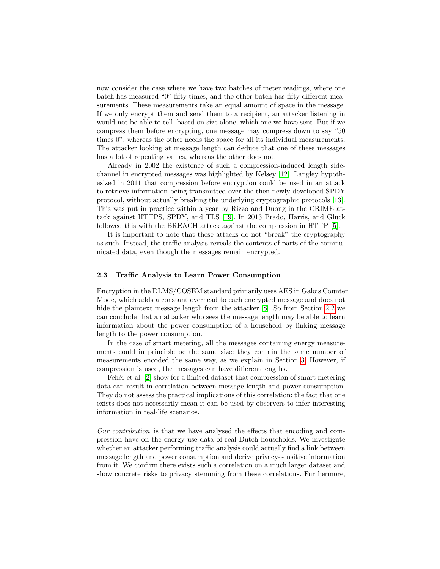now consider the case where we have two batches of meter readings, where one batch has measured "0" fifty times, and the other batch has fifty different measurements. These measurements take an equal amount of space in the message. If we only encrypt them and send them to a recipient, an attacker listening in would not be able to tell, based on size alone, which one we have sent. But if we compress them before encrypting, one message may compress down to say "50 times 0", whereas the other needs the space for all its individual measurements. The attacker looking at message length can deduce that one of these messages has a lot of repeating values, whereas the other does not.

Already in 2002 the existence of such a compression-induced length sidechannel in encrypted messages was highlighted by Kelsey [\[12\]](#page-20-5). Langley hypothesized in 2011 that compression before encryption could be used in an attack to retrieve information being transmitted over the then-newly-developed SPDY protocol, without actually breaking the underlying cryptographic protocols [\[13\]](#page-20-6). This was put in practice within a year by Rizzo and Duong in the CRIME attack against HTTPS, SPDY, and TLS [\[19\]](#page-20-7). In 2013 Prado, Harris, and Gluck followed this with the BREACH attack against the compression in HTTP [\[5\]](#page-19-5).

It is important to note that these attacks do not "break" the cryptography as such. Instead, the traffic analysis reveals the contents of parts of the communicated data, even though the messages remain encrypted.

#### <span id="page-3-0"></span>2.3 Traffic Analysis to Learn Power Consumption

Encryption in the DLMS/COSEM standard primarily uses AES in Galois Counter Mode, which adds a constant overhead to each encrypted message and does not hide the plaintext message length from the attacker [\[8\]](#page-19-2). So from Section [2.2](#page-2-1) we can conclude that an attacker who sees the message length may be able to learn information about the power consumption of a household by linking message length to the power consumption.

In the case of smart metering, all the messages containing energy measurements could in principle be the same size: they contain the same number of measurements encoded the same way, as we explain in Section [3.](#page-4-0) However, if compression is used, the messages can have different lengths.

Feher et al. [\[2\]](#page-19-6) show for a limited dataset that compression of smart metering data can result in correlation between message length and power consumption. They do not assess the practical implications of this correlation: the fact that one exists does not necessarily mean it can be used by observers to infer interesting information in real-life scenarios.

Our contribution is that we have analysed the effects that encoding and compression have on the energy use data of real Dutch households. We investigate whether an attacker performing traffic analysis could actually find a link between message length and power consumption and derive privacy-sensitive information from it. We confirm there exists such a correlation on a much larger dataset and show concrete risks to privacy stemming from these correlations. Furthermore,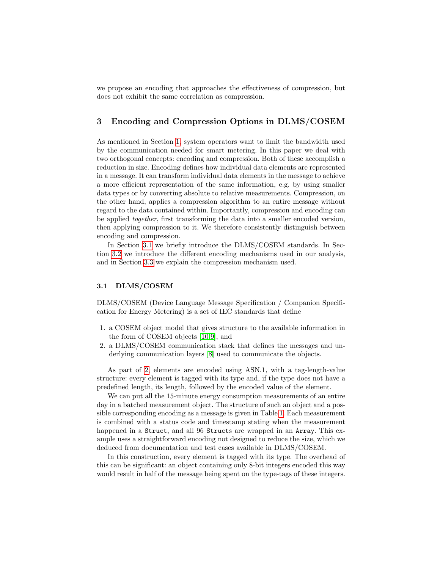we propose an encoding that approaches the effectiveness of compression, but does not exhibit the same correlation as compression.

# <span id="page-4-0"></span>3 Encoding and Compression Options in DLMS/COSEM

As mentioned in Section [1,](#page-0-0) system operators want to limit the bandwidth used by the communication needed for smart metering. In this paper we deal with two orthogonal concepts: encoding and compression. Both of these accomplish a reduction in size. Encoding defines how individual data elements are represented in a message. It can transform individual data elements in the message to achieve a more efficient representation of the same information, e.g. by using smaller data types or by converting absolute to relative measurements. Compression, on the other hand, applies a compression algorithm to an entire message without regard to the data contained within. Importantly, compression and encoding can be applied together, first transforming the data into a smaller encoded version, then applying compression to it. We therefore consistently distinguish between encoding and compression.

In Section [3.1](#page-4-1) we briefly introduce the DLMS/COSEM standards. In Section [3.2](#page-6-0) we introduce the different encoding mechanisms used in our analysis, and in Section [3.3](#page-7-1) we explain the compression mechanism used.

#### <span id="page-4-1"></span>3.1 DLMS/COSEM

DLMS/COSEM (Device Language Message Specification / Companion Specification for Energy Metering) is a set of IEC standards that define

- 1. a COSEM object model that gives structure to the available information in the form of COSEM objects [\[10](#page-20-3)[,9\]](#page-20-2), and
- <span id="page-4-2"></span>2. a DLMS/COSEM communication stack that defines the messages and underlying communication layers [\[8\]](#page-19-2) used to communicate the objects.

As part of [2,](#page-4-2) elements are encoded using ASN.1, with a tag-length-value structure: every element is tagged with its type and, if the type does not have a predefined length, its length, followed by the encoded value of the element.

We can put all the 15-minute energy consumption measurements of an entire day in a batched measurement object. The structure of such an object and a possible corresponding encoding as a message is given in Table [1.](#page-5-0) Each measurement is combined with a status code and timestamp stating when the measurement happened in a Struct, and all 96 Structs are wrapped in an Array. This example uses a straightforward encoding not designed to reduce the size, which we deduced from documentation and test cases available in DLMS/COSEM.

In this construction, every element is tagged with its type. The overhead of this can be significant: an object containing only 8-bit integers encoded this way would result in half of the message being spent on the type-tags of these integers.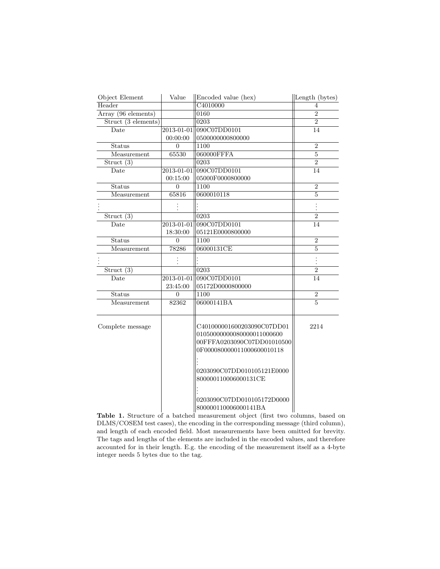| Object Element             | Value            | Encoded value (hex)        | Length (bytes)   |
|----------------------------|------------------|----------------------------|------------------|
| Header                     |                  | C4010000                   | 4                |
| Array (96 elements)        |                  | 0160                       | $\overline{2}$   |
| Struct (3 elements)        |                  | $\overline{0203}$          | $\overline{2}$   |
| Date                       |                  | 2013-01-01 090C07DD0101    | 14               |
|                            | 00:00:00         | 0500000000800000           |                  |
| $\overline{\text{Status}}$ | $\Omega$         | 1100                       | $\mathfrak{D}$   |
| Measurement                | 65530            | 060000FFFA                 | 5                |
| Struct $(3)$               |                  | 0203                       | $\overline{2}$   |
| Date                       |                  | 2013-01-01 090C07DD0101    | 14               |
|                            | 00:15:00         | 05000F0000800000           |                  |
| Status                     | $\boldsymbol{0}$ | 1100                       | $\overline{2}$   |
| Measurement                | 65816            | 0600010118                 | $\bf 5$          |
|                            |                  |                            |                  |
| Struct $(3)$               |                  | 0203                       | $\overline{2}$   |
| Date                       |                  | 2013-01-01 090C07DD0101    | 14               |
|                            | 18:30:00         | 05121E0000800000           |                  |
| Status                     | $\overline{0}$   | 1100                       | $\overline{2}$   |
| Measurement                | 78286            | 06000131CE                 | 5                |
|                            |                  |                            |                  |
| Struct $(3)$               |                  | 0203                       | $\overline{2}$   |
| Date                       |                  | 2013-01-01 090C07DD0101    | 14               |
|                            | 23:45:00         | 05172D0000800000           |                  |
| Status                     | $\overline{0}$   | 1100                       | $\boldsymbol{2}$ |
| Measurement                | 82362            | 06000141BA                 | $\overline{5}$   |
| Complete message           |                  | C401000001600203090C07DD01 | 2214             |
|                            |                  | 01050000000080000011000600 |                  |
|                            |                  | 00FFFA0203090C07DD01010500 |                  |
|                            |                  | 0F000080000011000600010118 |                  |
|                            |                  |                            |                  |
|                            |                  |                            |                  |
|                            |                  | 0203090C07DD010105121E0000 |                  |
|                            |                  | 800000110006000131CE       |                  |
|                            |                  |                            |                  |
|                            |                  | 0203090C07DD010105172D0000 |                  |
|                            |                  | 800000110006000141BA       |                  |
|                            |                  |                            |                  |

<span id="page-5-0"></span>Table 1. Structure of a batched measurement object (first two columns, based on DLMS/COSEM test cases), the encoding in the corresponding message (third column), and length of each encoded field. Most measurements have been omitted for brevity. The tags and lengths of the elements are included in the encoded values, and therefore accounted for in their length. E.g. the encoding of the measurement itself as a 4-byte integer needs 5 bytes due to the tag.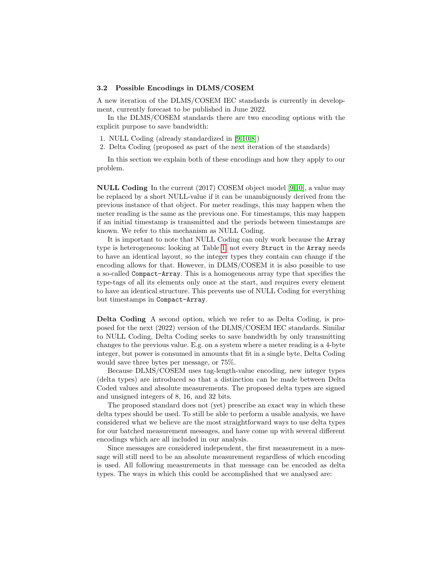#### <span id="page-6-0"></span>3.2 Possible Encodings in DLMS/COSEM

A new iteration of the DLMS/COSEM IEC standards is currently in development, currently forecast to be published in June 2022.

In the DLMS/COSEM standards there are two encoding options with the explicit purpose to save bandwidth:

- 1. NULL Coding (already standardized in [\[9,](#page-20-2)[10,](#page-20-3)[8\]](#page-19-2))
- 2. Delta Coding (proposed as part of the next iteration of the standards)

In this section we explain both of these encodings and how they apply to our problem.

NULL Coding In the current (2017) COSEM object model [\[9](#page-20-2)[,10\]](#page-20-3), a value may be replaced by a short NULL-value if it can be unambiguously derived from the previous instance of that object. For meter readings, this may happen when the meter reading is the same as the previous one. For timestamps, this may happen if an initial timestamp is transmitted and the periods between timestamps are known. We refer to this mechanism as NULL Coding.

It is important to note that NULL Coding can only work because the Array type is heterogeneous: looking at Table [1,](#page-5-0) not every Struct in the Array needs to have an identical layout, so the integer types they contain can change if the encoding allows for that. However, in DLMS/COSEM it is also possible to use a so-called Compact-Array. This is a homogeneous array type that specifies the type-tags of all its elements only once at the start, and requires every element to have an identical structure. This prevents use of NULL Coding for everything but timestamps in Compact-Array.

<span id="page-6-1"></span>Delta Coding A second option, which we refer to as Delta Coding, is proposed for the next (2022) version of the DLMS/COSEM IEC standards. Similar to NULL Coding, Delta Coding seeks to save bandwidth by only transmitting changes to the previous value. E.g. on a system where a meter reading is a 4-byte integer, but power is consumed in amounts that fit in a single byte, Delta Coding would save three bytes per message, or 75%.

Because DLMS/COSEM uses tag-length-value encoding, new integer types (delta types) are introduced so that a distinction can be made between Delta Coded values and absolute measurements. The proposed delta types are signed and unsigned integers of 8, 16, and 32 bits.

The proposed standard does not (yet) prescribe an exact way in which these delta types should be used. To still be able to perform a usable analysis, we have considered what we believe are the most straightforward ways to use delta types for our batched measurement messages, and have come up with several different encodings which are all included in our analysis.

Since messages are considered independent, the first measurement in a message will still need to be an absolute measurement regardless of which encoding is used. All following measurements in that message can be encoded as delta types. The ways in which this could be accomplished that we analysed are: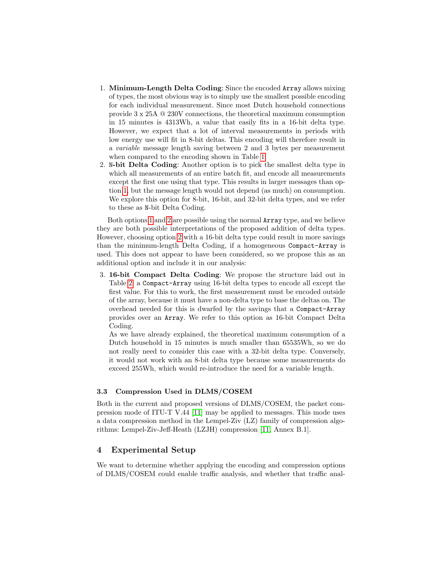- <span id="page-7-2"></span>1. Minimum-Length Delta Coding: Since the encoded Array allows mixing of types, the most obvious way is to simply use the smallest possible encoding for each individual measurement. Since most Dutch household connections provide 3 x 25A @ 230V connections, the theoretical maximum consumption in 15 minutes is 4313Wh, a value that easily fits in a 16-bit delta type. However, we expect that a lot of interval measurements in periods with low energy use will fit in 8-bit deltas. This encoding will therefore result in a variable message length saving between 2 and 3 bytes per measurement when compared to the encoding shown in Table [1.](#page-5-0)
- <span id="page-7-3"></span>2. N-bit Delta Coding: Another option is to pick the smallest delta type in which all measurements of an entire batch fit, and encode all measurements except the first one using that type. This results in larger messages than option [1,](#page-7-2) but the message length would not depend (as much) on consumption. We explore this option for 8-bit, 16-bit, and 32-bit delta types, and we refer to these as N-bit Delta Coding.

Both options [1](#page-7-2) and [2](#page-7-3) are possible using the normal Array type, and we believe they are both possible interpretations of the proposed addition of delta types. However, choosing option [2](#page-7-3) with a 16-bit delta type could result in more savings than the minimum-length Delta Coding, if a homogeneous Compact-Array is used. This does not appear to have been considered, so we propose this as an additional option and include it in our analysis:

3. 16-bit Compact Delta Coding: We propose the structure laid out in Table [2:](#page-8-0) a Compact-Array using 16-bit delta types to encode all except the first value. For this to work, the first measurement must be encoded outside of the array, because it must have a non-delta type to base the deltas on. The overhead needed for this is dwarfed by the savings that a Compact-Array provides over an Array. We refer to this option as 16-bit Compact Delta Coding.

As we have already explained, the theoretical maximum consumption of a Dutch household in 15 minutes is much smaller than 65535Wh, so we do not really need to consider this case with a 32-bit delta type. Conversely, it would not work with an 8-bit delta type because some measurements do exceed 255Wh, which would re-introduce the need for a variable length.

# <span id="page-7-1"></span>3.3 Compression Used in DLMS/COSEM

Both in the current and proposed versions of DLMS/COSEM, the packet compression mode of ITU-T V.44 [\[11\]](#page-20-8) may be applied to messages. This mode uses a data compression method in the Lempel-Ziv (LZ) family of compression algorithms: Lempel-Ziv-Jeff-Heath (LZJH) compression [\[11,](#page-20-8) Annex B.1].

# <span id="page-7-0"></span>4 Experimental Setup

We want to determine whether applying the encoding and compression options of DLMS/COSEM could enable traffic analysis, and whether that traffic anal-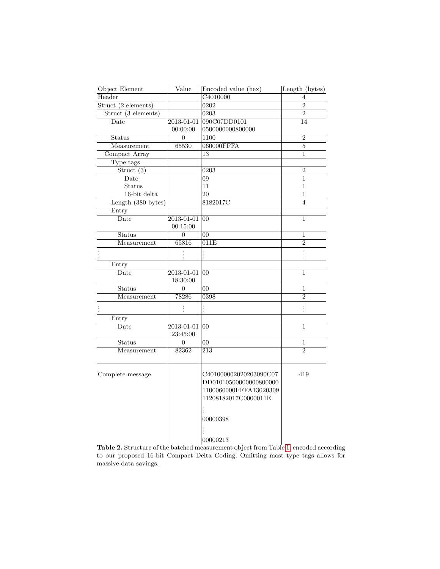| Object Element                | Value                             | Encoded value (hex)     | Length (bytes) |
|-------------------------------|-----------------------------------|-------------------------|----------------|
| Header                        |                                   | C4010000                | $\overline{4}$ |
| Struct (2 elements)           |                                   | 0202                    | $\overline{2}$ |
| Struct (3 elements)           |                                   | 0203                    | $\overline{2}$ |
| Date                          |                                   | 2013-01-01 090C07DD0101 | 14             |
|                               | 00:00:00                          | 0500000000800000        |                |
| Status                        | $\overline{0}$                    | 1100                    | $\overline{2}$ |
| Measurement                   | 65530                             | 060000FFFA              | $\overline{5}$ |
| Compact Array                 |                                   | 13                      | $\mathbf{1}$   |
| Type tags                     |                                   |                         |                |
| $\overline{\text{Struct}(3)}$ |                                   | 0203                    | $\overline{2}$ |
| Date                          |                                   | $\overline{09}$         | $\mathbf{1}$   |
| <b>Status</b>                 |                                   | 11                      | 1              |
| $16$ -bit delta               |                                   | 20                      | $\mathbf 1$    |
| Length (380 bytes)            |                                   | 8182017C                | $\overline{4}$ |
| Entry                         |                                   |                         |                |
| Date                          | $2013 - 01 - 01$  00              |                         | 1              |
|                               | 00:15:00                          |                         |                |
| Status                        | $\overline{0}$                    | 00                      | 1              |
| Measurement                   | 65816                             | 011E                    | $\mathbf{2}$   |
|                               |                                   |                         |                |
| Entry                         |                                   |                         |                |
| Date                          | 2013-01-01                        | $ 00\rangle$            | 1              |
|                               | 18:30:00                          |                         |                |
| Status                        | $\overline{0}$                    | $\overline{00}$         | $\mathbf 1$    |
| Measurement                   | 78286                             | 0398                    | $\overline{2}$ |
|                               |                                   |                         | $\vdots$       |
|                               |                                   |                         |                |
| Entry                         |                                   |                         |                |
| Date                          | $2013 - 01 - 01$   00<br>23:45:00 |                         | $\mathbf{1}$   |
| Status                        | $\overline{0}$                    | $00\,$                  | $\mathbf{1}$   |
|                               |                                   | $\overline{213}$        | $\overline{2}$ |
| Measurement                   | 82362                             |                         |                |
|                               |                                   |                         |                |
| Complete message              |                                   | C401000002020203090C07  | 419            |
|                               |                                   | DD01010500000000800000  |                |
|                               |                                   | 1100060000FFFA13020309  |                |
|                               |                                   | 11208182017C0000011E    |                |
|                               |                                   |                         |                |
|                               |                                   |                         |                |
|                               |                                   | 00000398                |                |
|                               |                                   |                         |                |
|                               |                                   | 00000213                |                |
|                               |                                   |                         |                |

<span id="page-8-0"></span>Table 2. Structure of the batched measurement object from Table [1,](#page-5-0) encoded according to our proposed 16-bit Compact Delta Coding. Omitting most type tags allows for massive data savings.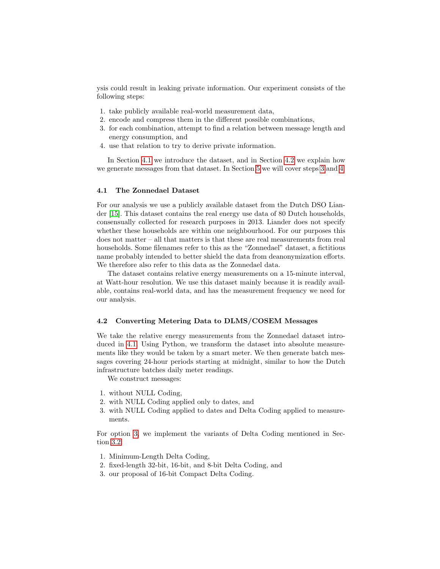ysis could result in leaking private information. Our experiment consists of the following steps:

- 1. take publicly available real-world measurement data,
- 2. encode and compress them in the different possible combinations,
- <span id="page-9-2"></span>3. for each combination, attempt to find a relation between message length and energy consumption, and
- <span id="page-9-3"></span>4. use that relation to try to derive private information.

In Section [4.1](#page-9-0) we introduce the dataset, and in Section [4.2](#page-9-1) we explain how we generate messages from that dataset. In Section [5](#page-10-0) we will cover steps [3](#page-9-2) and [4.](#page-9-3)

#### <span id="page-9-0"></span>4.1 The Zonnedael Dataset

For our analysis we use a publicly available dataset from the Dutch DSO Liander [\[15\]](#page-20-9). This dataset contains the real energy use data of 80 Dutch households, consensually collected for research purposes in 2013. Liander does not specify whether these households are within one neighbourhood. For our purposes this does not matter – all that matters is that these are real measurements from real households. Some filenames refer to this as the "Zonnedael" dataset, a fictitious name probably intended to better shield the data from deanonymization efforts. We therefore also refer to this data as the Zonnedael data.

The dataset contains relative energy measurements on a 15-minute interval, at Watt-hour resolution. We use this dataset mainly because it is readily available, contains real-world data, and has the measurement frequency we need for our analysis.

#### <span id="page-9-1"></span>4.2 Converting Metering Data to DLMS/COSEM Messages

We take the relative energy measurements from the Zonnedael dataset introduced in [4.1.](#page-9-0) Using Python, we transform the dataset into absolute measurements like they would be taken by a smart meter. We then generate batch messages covering 24-hour periods starting at midnight, similar to how the Dutch infrastructure batches daily meter readings.

We construct messages:

- 1. without NULL Coding,
- 2. with NULL Coding applied only to dates, and
- <span id="page-9-4"></span>3. with NULL Coding applied to dates and Delta Coding applied to measurements.

For option [3,](#page-9-4) we implement the variants of Delta Coding mentioned in Section [3.2:](#page-6-1)

- 1. Minimum-Length Delta Coding,
- 2. fixed-length 32-bit, 16-bit, and 8-bit Delta Coding, and
- 3. our proposal of 16-bit Compact Delta Coding.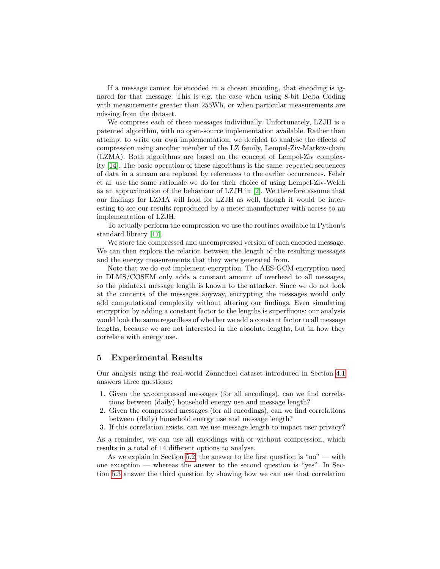If a message cannot be encoded in a chosen encoding, that encoding is ignored for that message. This is e.g. the case when using 8-bit Delta Coding with measurements greater than 255Wh, or when particular measurements are missing from the dataset.

We compress each of these messages individually. Unfortunately, LZJH is a patented algorithm, with no open-source implementation available. Rather than attempt to write our own implementation, we decided to analyse the effects of compression using another member of the LZ family, Lempel-Ziv-Markov-chain (LZMA). Both algorithms are based on the concept of Lempel-Ziv complexity [\[14\]](#page-20-10). The basic operation of these algorithms is the same: repeated sequences of data in a stream are replaced by references to the earlier occurrences. Fehér et al. use the same rationale we do for their choice of using Lempel-Ziv-Welch as an approximation of the behaviour of LZJH in [\[2\]](#page-19-6). We therefore assume that our findings for LZMA will hold for LZJH as well, though it would be interesting to see our results reproduced by a meter manufacturer with access to an implementation of LZJH.

To actually perform the compression we use the routines available in Python's standard library [\[17\]](#page-20-11).

We store the compressed and uncompressed version of each encoded message. We can then explore the relation between the length of the resulting messages and the energy measurements that they were generated from.

Note that we do not implement encryption. The AES-GCM encryption used in DLMS/COSEM only adds a constant amount of overhead to all messages, so the plaintext message length is known to the attacker. Since we do not look at the contents of the messages anyway, encrypting the messages would only add computational complexity without altering our findings. Even simulating encryption by adding a constant factor to the lengths is superfluous: our analysis would look the same regardless of whether we add a constant factor to all message lengths, because we are not interested in the absolute lengths, but in how they correlate with energy use.

# <span id="page-10-0"></span>5 Experimental Results

Our analysis using the real-world Zonnedael dataset introduced in Section [4.1](#page-9-0) answers three questions:

- 1. Given the uncompressed messages (for all encodings), can we find correlations between (daily) household energy use and message length?
- 2. Given the compressed messages (for all encodings), can we find correlations between (daily) household energy use and message length?
- 3. If this correlation exists, can we use message length to impact user privacy?

As a reminder, we can use all encodings with or without compression, which results in a total of 14 different options to analyse.

As we explain in Section [5.2,](#page-12-0) the answer to the first question is "no" — with one exception — whereas the answer to the second question is "yes". In Section [5.3](#page-14-0) answer the third question by showing how we can use that correlation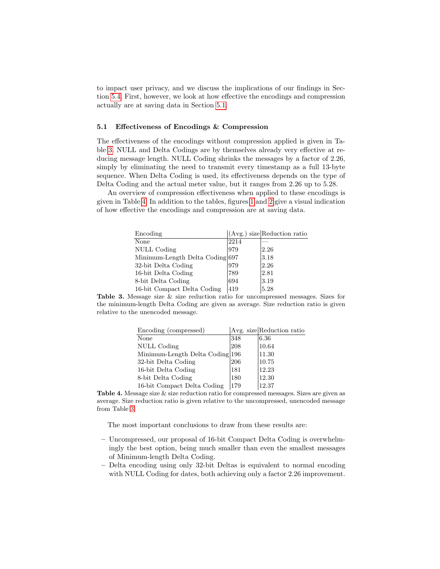to impact user privacy, and we discuss the implications of our findings in Section [5.4.](#page-16-0) First, however, we look at how effective the encodings and compression actually are at saving data in Section [5.1.](#page-11-0)

#### <span id="page-11-0"></span>5.1 Effectiveness of Encodings & Compression

The effectiveness of the encodings without compression applied is given in Table [3.](#page-11-1) NULL and Delta Codings are by themselves already very effective at reducing message length. NULL Coding shrinks the messages by a factor of 2.26, simply by eliminating the need to transmit every timestamp as a full 13-byte sequence. When Delta Coding is used, its effectiveness depends on the type of Delta Coding and the actual meter value, but it ranges from 2.26 up to 5.28.

An overview of compression effectiveness when applied to these encodings is given in Table [4.](#page-11-2) In addition to the tables, figures [1](#page-12-1) and [2](#page-13-0) give a visual indication of how effective the encodings and compression are at saving data.

| Encoding                        |      | $(Avg.)$ size Reduction ratio |
|---------------------------------|------|-------------------------------|
| None                            | 2214 |                               |
| NULL Coding                     | 979  | 2.26                          |
| Minimum-Length Delta Coding 697 |      | 3.18                          |
| 32-bit Delta Coding             | 979  | 2.26                          |
| 16-bit Delta Coding             | 789  | 2.81                          |
| 8-bit Delta Coding              | 694  | 3.19                          |
| 16-bit Compact Delta Coding     | 419  | 5.28                          |

<span id="page-11-1"></span>**Table 3.** Message size  $\&$  size reduction ratio for uncompressed messages. Sizes for the minimum-length Delta Coding are given as average. Size reduction ratio is given relative to the unencoded message.

| Encoding (compressed)           |     | Avg. size Reduction ratio |
|---------------------------------|-----|---------------------------|
| None                            | 348 | 6.36                      |
| NULL Coding                     | 208 | 10.64                     |
| Minimum-Length Delta Coding 196 |     | 11.30                     |
| 32-bit Delta Coding             | 206 | 10.75                     |
| 16-bit Delta Coding             | 181 | 12.23                     |
| 8-bit Delta Coding              | 180 | 12.30                     |
| 16-bit Compact Delta Coding     | 179 | 12.37                     |

<span id="page-11-2"></span>Table 4. Message size & size reduction ratio for compressed messages. Sizes are given as average. Size reduction ratio is given relative to the uncompressed, unencoded message from Table [3.](#page-11-1)

The most important conclusions to draw from these results are:

- Uncompressed, our proposal of 16-bit Compact Delta Coding is overwhelmingly the best option, being much smaller than even the smallest messages of Minimum-length Delta Coding.
- Delta encoding using only 32-bit Deltas is equivalent to normal encoding with NULL Coding for dates, both achieving only a factor 2.26 improvement.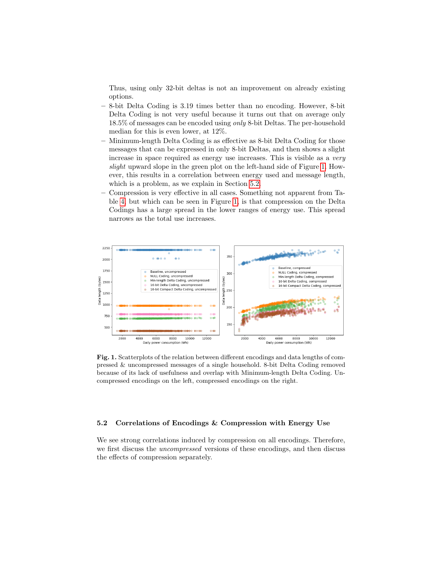Thus, using only 32-bit deltas is not an improvement on already existing options.

- 8-bit Delta Coding is 3.19 times better than no encoding. However, 8-bit Delta Coding is not very useful because it turns out that on average only 18.5% of messages can be encoded using only 8-bit Deltas. The per-household median for this is even lower, at 12%.
- Minimum-length Delta Coding is as effective as 8-bit Delta Coding for those messages that can be expressed in only 8-bit Deltas, and then shows a slight increase in space required as energy use increases. This is visible as a very slight upward slope in the green plot on the left-hand side of Figure [1.](#page-12-1) However, this results in a correlation between energy used and message length, which is a problem, as we explain in Section [5.2.](#page-12-0)
- Compression is very effective in all cases. Something not apparent from Table [4,](#page-11-2) but which can be seen in Figure [1,](#page-12-1) is that compression on the Delta Codings has a large spread in the lower ranges of energy use. This spread narrows as the total use increases.



<span id="page-12-1"></span>Fig. 1. Scatterplots of the relation between different encodings and data lengths of compressed & uncompressed messages of a single household. 8-bit Delta Coding removed because of its lack of usefulness and overlap with Minimum-length Delta Coding. Uncompressed encodings on the left, compressed encodings on the right.

#### <span id="page-12-0"></span>5.2 Correlations of Encodings & Compression with Energy Use

We see strong correlations induced by compression on all encodings. Therefore, we first discuss the uncompressed versions of these encodings, and then discuss the effects of compression separately.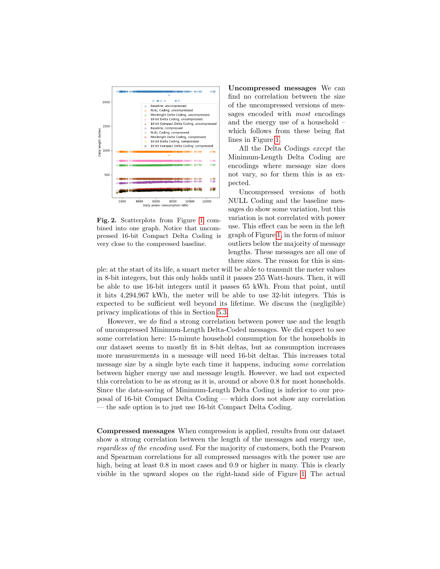

<span id="page-13-0"></span>Fig. 2. Scatterplots from Figure [1](#page-12-1) combined into one graph. Notice that uncompressed 16-bit Compact Delta Coding is very close to the compressed baseline.

Uncompressed messages We can find no correlation between the size of the uncompressed versions of messages encoded with *most* encodings and the energy use of a household – which follows from these being flat lines in Figure [1.](#page-12-1)

All the Delta Codings except the Minimum-Length Delta Coding are encodings where message size does not vary, so for them this is as expected.

Uncompressed versions of both NULL Coding and the baseline messages do show some variation, but this variation is not correlated with power use. This effect can be seen in the left graph of Figure [1,](#page-12-1) in the form of minor outliers below the majority of message lengths. These messages are all one of three sizes. The reason for this is sim-

ple: at the start of its life, a smart meter will be able to transmit the meter values in 8-bit integers, but this only holds until it passes 255 Watt-hours. Then, it will be able to use 16-bit integers until it passes 65 kWh. From that point, until it hits 4,294,967 kWh, the meter will be able to use 32-bit integers. This is expected to be sufficient well beyond its lifetime. We discuss the (negligible) privacy implications of this in Section [5.3.](#page-14-0)

However, we do find a strong correlation between power use and the length of uncompressed Minimum-Length Delta-Coded messages. We did expect to see some correlation here: 15-minute household consumption for the households in our dataset seems to mostly fit in 8-bit deltas, but as consumption increases more measurements in a message will need 16-bit deltas. This increases total message size by a single byte each time it happens, inducing some correlation between higher energy use and message length. However, we had not expected this correlation to be as strong as it is, around or above 0.8 for most households. Since the data-saving of Minimum-Length Delta Coding is inferior to our proposal of 16-bit Compact Delta Coding — which does not show any correlation — the safe option is to just use 16-bit Compact Delta Coding.

Compressed messages When compression is applied, results from our dataset show a strong correlation between the length of the messages and energy use, regardless of the encoding used. For the majority of customers, both the Pearson and Spearman correlations for all compressed messages with the power use are high, being at least  $0.8$  in most cases and  $0.9$  or higher in many. This is clearly visible in the upward slopes on the right-hand side of Figure [1.](#page-12-1) The actual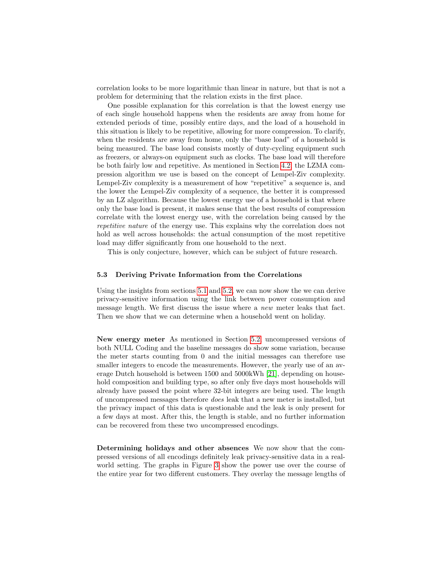correlation looks to be more logarithmic than linear in nature, but that is not a problem for determining that the relation exists in the first place.

One possible explanation for this correlation is that the lowest energy use of each single household happens when the residents are away from home for extended periods of time, possibly entire days, and the load of a household in this situation is likely to be repetitive, allowing for more compression. To clarify, when the residents are away from home, only the "base load" of a household is being measured. The base load consists mostly of duty-cycling equipment such as freezers, or always-on equipment such as clocks. The base load will therefore be both fairly low and repetitive. As mentioned in Section [4.2,](#page-9-1) the LZMA compression algorithm we use is based on the concept of Lempel-Ziv complexity. Lempel-Ziv complexity is a measurement of how "repetitive" a sequence is, and the lower the Lempel-Ziv complexity of a sequence, the better it is compressed by an LZ algorithm. Because the lowest energy use of a household is that where only the base load is present, it makes sense that the best results of compression correlate with the lowest energy use, with the correlation being caused by the repetitive nature of the energy use. This explains why the correlation does not hold as well across households: the actual consumption of the most repetitive load may differ significantly from one household to the next.

This is only conjecture, however, which can be subject of future research.

#### <span id="page-14-0"></span>5.3 Deriving Private Information from the Correlations

Using the insights from sections [5.1](#page-11-0) and [5.2,](#page-12-0) we can now show the we can derive privacy-sensitive information using the link between power consumption and message length. We first discuss the issue where a new meter leaks that fact. Then we show that we can determine when a household went on holiday.

New energy meter As mentioned in Section [5.2,](#page-12-0) uncompressed versions of both NULL Coding and the baseline messages do show some variation, because the meter starts counting from 0 and the initial messages can therefore use smaller integers to encode the measurements. However, the yearly use of an average Dutch household is between 1500 and 5000kWh [\[21\]](#page-20-12), depending on household composition and building type, so after only five days most households will already have passed the point where 32-bit integers are being used. The length of uncompressed messages therefore does leak that a new meter is installed, but the privacy impact of this data is questionable and the leak is only present for a few days at most. After this, the length is stable, and no further information can be recovered from these two uncompressed encodings.

Determining holidays and other absences We now show that the compressed versions of all encodings definitely leak privacy-sensitive data in a realworld setting. The graphs in Figure [3](#page-15-0) show the power use over the course of the entire year for two different customers. They overlay the message lengths of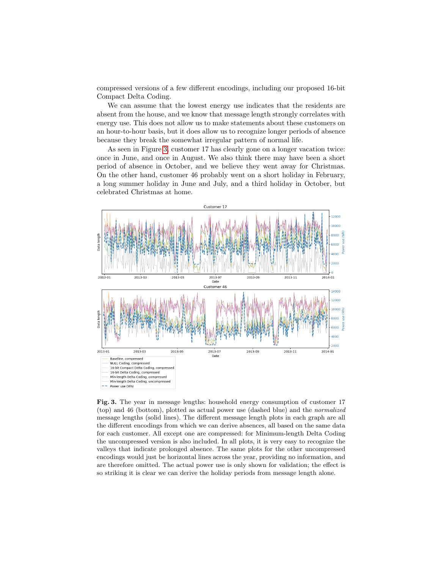compressed versions of a few different encodings, including our proposed 16-bit Compact Delta Coding.

We can assume that the lowest energy use indicates that the residents are absent from the house, and we know that message length strongly correlates with energy use. This does not allow us to make statements about these customers on an hour-to-hour basis, but it does allow us to recognize longer periods of absence because they break the somewhat irregular pattern of normal life.

As seen in Figure [3,](#page-15-0) customer 17 has clearly gone on a longer vacation twice: once in June, and once in August. We also think there may have been a short period of absence in October, and we believe they went away for Christmas. On the other hand, customer 46 probably went on a short holiday in February, a long summer holiday in June and July, and a third holiday in October, but celebrated Christmas at home.



<span id="page-15-0"></span>Fig. 3. The year in message lengths: household energy consumption of customer 17 (top) and 46 (bottom), plotted as actual power use (dashed blue) and the normalized message lengths (solid lines). The different message length plots in each graph are all the different encodings from which we can derive absences, all based on the same data for each customer. All except one are compressed: for Minimum-length Delta Coding the uncompressed version is also included. In all plots, it is very easy to recognize the valleys that indicate prolonged absence. The same plots for the other uncompressed encodings would just be horizontal lines across the year, providing no information, and are therefore omitted. The actual power use is only shown for validation; the effect is so striking it is clear we can derive the holiday periods from message length alone.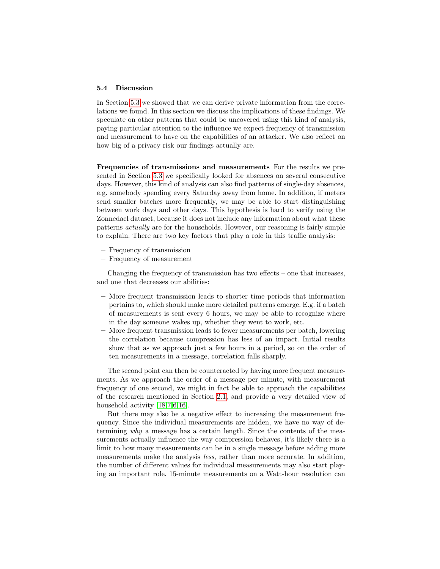#### <span id="page-16-0"></span>5.4 Discussion

In Section [5.3](#page-14-0) we showed that we can derive private information from the correlations we found. In this section we discuss the implications of these findings. We speculate on other patterns that could be uncovered using this kind of analysis, paying particular attention to the influence we expect frequency of transmission and measurement to have on the capabilities of an attacker. We also reflect on how big of a privacy risk our findings actually are.

Frequencies of transmissions and measurements For the results we presented in Section [5.3](#page-14-0) we specifically looked for absences on several consecutive days. However, this kind of analysis can also find patterns of single-day absences, e.g. somebody spending every Saturday away from home. In addition, if meters send smaller batches more frequently, we may be able to start distinguishing between work days and other days. This hypothesis is hard to verify using the Zonnedael dataset, because it does not include any information about what these patterns actually are for the households. However, our reasoning is fairly simple to explain. There are two key factors that play a role in this traffic analysis:

- Frequency of transmission
- Frequency of measurement

Changing the frequency of transmission has two effects – one that increases, and one that decreases our abilities:

- More frequent transmission leads to shorter time periods that information pertains to, which should make more detailed patterns emerge. E.g. if a batch of measurements is sent every 6 hours, we may be able to recognize where in the day someone wakes up, whether they went to work, etc.
- More frequent transmission leads to fewer measurements per batch, lowering the correlation because compression has less of an impact. Initial results show that as we approach just a few hours in a period, so on the order of ten measurements in a message, correlation falls sharply.

The second point can then be counteracted by having more frequent measurements. As we approach the order of a message per minute, with measurement frequency of one second, we might in fact be able to approach the capabilities of the research mentioned in Section [2.1,](#page-2-0) and provide a very detailed view of household activity [\[18](#page-20-0)[,7,](#page-19-0)[6,](#page-19-1)[16\]](#page-20-1).

But there may also be a negative effect to increasing the measurement frequency. Since the individual measurements are hidden, we have no way of determining why a message has a certain length. Since the contents of the measurements actually influence the way compression behaves, it's likely there is a limit to how many measurements can be in a single message before adding more measurements make the analysis less, rather than more accurate. In addition, the number of different values for individual measurements may also start playing an important role. 15-minute measurements on a Watt-hour resolution can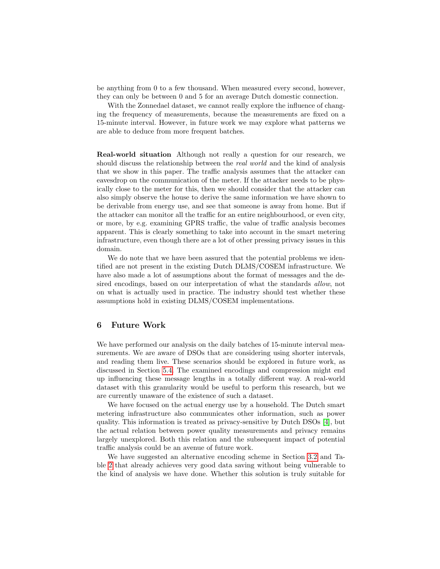be anything from 0 to a few thousand. When measured every second, however, they can only be between 0 and 5 for an average Dutch domestic connection.

With the Zonnedael dataset, we cannot really explore the influence of changing the frequency of measurements, because the measurements are fixed on a 15-minute interval. However, in future work we may explore what patterns we are able to deduce from more frequent batches.

Real-world situation Although not really a question for our research, we should discuss the relationship between the *real world* and the kind of analysis that we show in this paper. The traffic analysis assumes that the attacker can eavesdrop on the communication of the meter. If the attacker needs to be physically close to the meter for this, then we should consider that the attacker can also simply observe the house to derive the same information we have shown to be derivable from energy use, and see that someone is away from home. But if the attacker can monitor all the traffic for an entire neighbourhood, or even city, or more, by e.g. examining GPRS traffic, the value of traffic analysis becomes apparent. This is clearly something to take into account in the smart metering infrastructure, even though there are a lot of other pressing privacy issues in this domain.

We do note that we have been assured that the potential problems we identified are not present in the existing Dutch DLMS/COSEM infrastructure. We have also made a lot of assumptions about the format of messages and the desired encodings, based on our interpretation of what the standards allow, not on what is actually used in practice. The industry should test whether these assumptions hold in existing DLMS/COSEM implementations.

## <span id="page-17-0"></span>6 Future Work

We have performed our analysis on the daily batches of 15-minute interval measurements. We are aware of DSOs that are considering using shorter intervals, and reading them live. These scenarios should be explored in future work, as discussed in Section [5.4.](#page-16-0) The examined encodings and compression might end up influencing these message lengths in a totally different way. A real-world dataset with this granularity would be useful to perform this research, but we are currently unaware of the existence of such a dataset.

We have focused on the actual energy use by a household. The Dutch smart metering infrastructure also communicates other information, such as power quality. This information is treated as privacy-sensitive by Dutch DSOs [\[4\]](#page-19-4), but the actual relation between power quality measurements and privacy remains largely unexplored. Both this relation and the subsequent impact of potential traffic analysis could be an avenue of future work.

We have suggested an alternative encoding scheme in Section [3.2](#page-6-1) and Table [2](#page-8-0) that already achieves very good data saving without being vulnerable to the kind of analysis we have done. Whether this solution is truly suitable for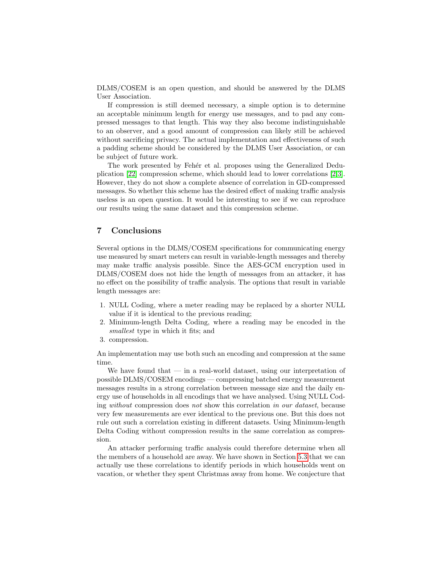DLMS/COSEM is an open question, and should be answered by the DLMS User Association.

If compression is still deemed necessary, a simple option is to determine an acceptable minimum length for energy use messages, and to pad any compressed messages to that length. This way they also become indistinguishable to an observer, and a good amount of compression can likely still be achieved without sacrificing privacy. The actual implementation and effectiveness of such a padding scheme should be considered by the DLMS User Association, or can be subject of future work.

The work presented by Fehér et al. proposes using the Generalized Deduplication [\[22\]](#page-20-13) compression scheme, which should lead to lower correlations [\[2,](#page-19-6)[3\]](#page-19-7). However, they do not show a complete absence of correlation in GD-compressed messages. So whether this scheme has the desired effect of making traffic analysis useless is an open question. It would be interesting to see if we can reproduce our results using the same dataset and this compression scheme.

# <span id="page-18-0"></span>7 Conclusions

Several options in the DLMS/COSEM specifications for communicating energy use measured by smart meters can result in variable-length messages and thereby may make traffic analysis possible. Since the AES-GCM encryption used in DLMS/COSEM does not hide the length of messages from an attacker, it has no effect on the possibility of traffic analysis. The options that result in variable length messages are:

- 1. NULL Coding, where a meter reading may be replaced by a shorter NULL value if it is identical to the previous reading;
- 2. Minimum-length Delta Coding, where a reading may be encoded in the smallest type in which it fits; and
- 3. compression.

An implementation may use both such an encoding and compression at the same time.

We have found that  $-$  in a real-world dataset, using our interpretation of possible DLMS/COSEM encodings — compressing batched energy measurement messages results in a strong correlation between message size and the daily energy use of households in all encodings that we have analysed. Using NULL Coding without compression does not show this correlation in our dataset, because very few measurements are ever identical to the previous one. But this does not rule out such a correlation existing in different datasets. Using Minimum-length Delta Coding without compression results in the same correlation as compression.

An attacker performing traffic analysis could therefore determine when all the members of a household are away. We have shown in Section [5.3](#page-14-0) that we can actually use these correlations to identify periods in which households went on vacation, or whether they spent Christmas away from home. We conjecture that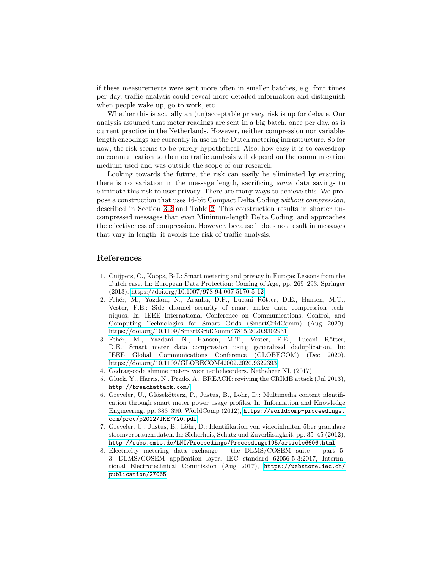if these measurements were sent more often in smaller batches, e.g. four times per day, traffic analysis could reveal more detailed information and distinguish when people wake up, go to work, etc.

Whether this is actually an (un)acceptable privacy risk is up for debate. Our analysis assumed that meter readings are sent in a big batch, once per day, as is current practice in the Netherlands. However, neither compression nor variablelength encodings are currently in use in the Dutch metering infrastructure. So for now, the risk seems to be purely hypothetical. Also, how easy it is to eavesdrop on communication to then do traffic analysis will depend on the communication medium used and was outside the scope of our research.

Looking towards the future, the risk can easily be eliminated by ensuring there is no variation in the message length, sacrificing some data savings to eliminate this risk to user privacy. There are many ways to achieve this. We propose a construction that uses 16-bit Compact Delta Coding without compression, described in Section [3.2](#page-6-1) and Table [2.](#page-8-0) This construction results in shorter uncompressed messages than even Minimum-length Delta Coding, and approaches the effectiveness of compression. However, because it does not result in messages that vary in length, it avoids the risk of traffic analysis.

## References

- <span id="page-19-3"></span>1. Cuijpers, C., Koops, B-J.: Smart metering and privacy in Europe: Lessons from the Dutch case. In: European Data Protection: Coming of Age, pp. 269–293. Springer (2013). [https://doi.org/10.1007/978-94-007-5170-5](https://doi.org/10.1007/978-94-007-5170-5_12) 12
- <span id="page-19-6"></span>2. Fehér, M., Yazdani, N., Aranha, D.F., Lucani Rötter, D.E., Hansen, M.T., Vester, F.E.: Side channel security of smart meter data compression techniques. In: IEEE International Conference on Communications, Control, and Computing Technologies for Smart Grids (SmartGridComm) (Aug 2020). <https://doi.org/10.1109/SmartGridComm47815.2020.9302931>
- <span id="page-19-7"></span>3. Fehér, M., Yazdani, N., Hansen, M.T., Vester, F.E., Lucani Rötter, D.E.: Smart meter data compression using generalized deduplication. In: IEEE Global Communications Conference (GLOBECOM) (Dec 2020). <https://doi.org/10.1109/GLOBECOM42002.2020.9322393>
- <span id="page-19-4"></span>4. Gedragscode slimme meters voor netbeheerders. Netbeheer NL (2017)
- <span id="page-19-5"></span>5. Gluck, Y., Harris, N., Prado, A.: BREACH: reviving the CRIME attack (Jul 2013), <http://breachattack.com/>
- <span id="page-19-1"></span>6. Greveler, U., Glösekötterz, P., Justus, B., Löhr, D.: Multimedia content identification through smart meter power usage profiles. In: Information and Knowledge Engineering. pp. 383–390. WorldComp (2012), [https://worldcomp-proceedings.](https://worldcomp-proceedings.com/proc/p2012/IKE7720.pdf) [com/proc/p2012/IKE7720.pdf](https://worldcomp-proceedings.com/proc/p2012/IKE7720.pdf)
- <span id="page-19-0"></span>7. Greveler, U., Justus, B., Löhr, D.: Identifikation von videoinhalten über granulare stromverbrauchsdaten. In: Sicherheit, Schutz und Zuverlässigkeit. pp. 35–45 (2012), <http://subs.emis.de/LNI/Proceedings/Proceedings195/article6606.html>
- <span id="page-19-2"></span>8. Electricity metering data exchange – the DLMS/COSEM suite – part 5- 3: DLMS/COSEM application layer. IEC standard 62056-5-3:2017, International Electrotechnical Commission (Aug 2017), [https://webstore.iec.ch/](https://webstore.iec.ch/publication/27065) [publication/27065](https://webstore.iec.ch/publication/27065)